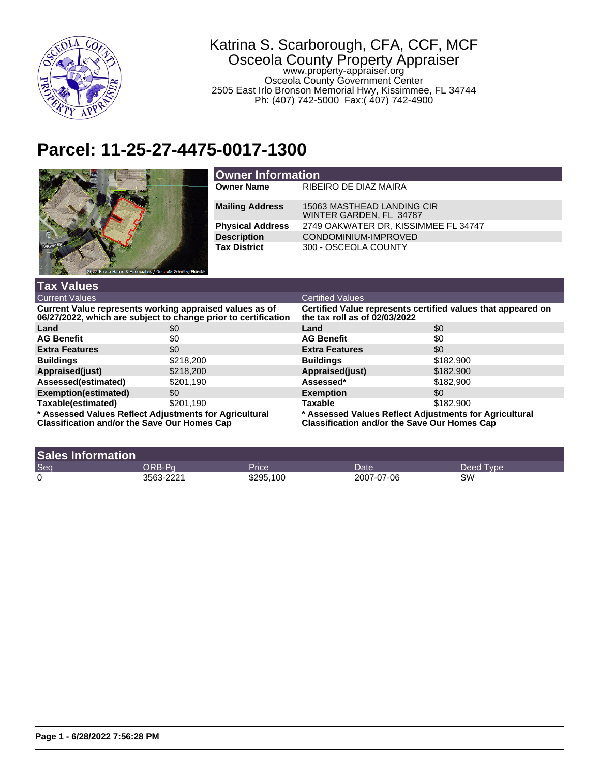

## Katrina S. Scarborough, CFA, CCF, MCF Osceola County Property Appraiser

www.property-appraiser.org Osceola County Government Center 2505 East Irlo Bronson Memorial Hwy, Kissimmee, FL 34744 Ph: (407) 742-5000 Fax:( 407) 742-4900

## **Parcel: 11-25-27-4475-0017-1300**



| <b>Owner Information</b> |                                                       |  |  |
|--------------------------|-------------------------------------------------------|--|--|
| <b>Owner Name</b>        | RIBEIRO DE DIAZ MAIRA                                 |  |  |
| <b>Mailing Address</b>   | 15063 MASTHEAD LANDING CIR<br>WINTER GARDEN, FL 34787 |  |  |
| <b>Physical Address</b>  | 2749 OAKWATER DR, KISSIMMEE FL 34747                  |  |  |
| <b>Description</b>       | CONDOMINIUM-IMPROVED                                  |  |  |
| <b>Tax District</b>      | 300 - OSCEOLA COUNTY                                  |  |  |

| <b>Tax Values</b>                                                                                                         |           |                                                                                                               |           |  |
|---------------------------------------------------------------------------------------------------------------------------|-----------|---------------------------------------------------------------------------------------------------------------|-----------|--|
| <b>Current Values</b>                                                                                                     |           | <b>Certified Values</b>                                                                                       |           |  |
| Current Value represents working appraised values as of<br>06/27/2022, which are subject to change prior to certification |           | Certified Value represents certified values that appeared on<br>the tax roll as of $02/03/2022$               |           |  |
| Land                                                                                                                      | \$0       | Land                                                                                                          | \$0       |  |
| <b>AG Benefit</b>                                                                                                         | \$0       | <b>AG Benefit</b>                                                                                             | \$0       |  |
| <b>Extra Features</b>                                                                                                     | \$0       | <b>Extra Features</b>                                                                                         | \$0       |  |
| <b>Buildings</b>                                                                                                          | \$218,200 | <b>Buildings</b>                                                                                              | \$182,900 |  |
| Appraised(just)                                                                                                           | \$218,200 | Appraised(just)                                                                                               | \$182,900 |  |
| Assessed(estimated)                                                                                                       | \$201.190 | Assessed*                                                                                                     | \$182,900 |  |
| Exemption(estimated)                                                                                                      | \$0       | <b>Exemption</b>                                                                                              | \$0       |  |
| Taxable(estimated)                                                                                                        | \$201.190 | <b>Taxable</b>                                                                                                | \$182,900 |  |
| * Assessed Values Reflect Adjustments for Agricultural<br><b>Classification and/or the Save Our Homes Cap</b>             |           | * Assessed Values Reflect Adjustments for Agricultural<br><b>Classification and/or the Save Our Homes Cap</b> |           |  |

| <b>Sales Information</b> |           |           |            |           |
|--------------------------|-----------|-----------|------------|-----------|
| Seq                      | DRB-Pa    | Price     | Date'      | Deed Type |
| 0                        | 3563-2221 | \$295,100 | 2007-07-06 | SW        |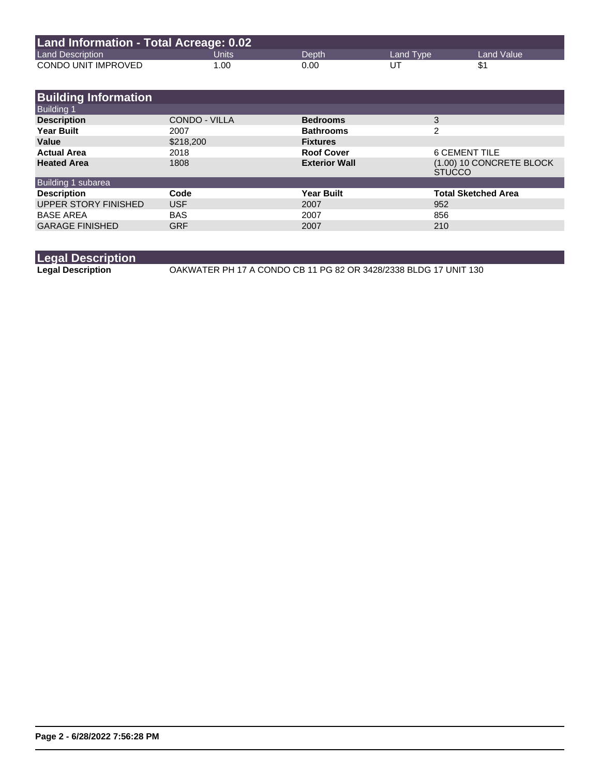| Land Information - Total Acreage: 0.02 |       |       |           |              |  |
|----------------------------------------|-------|-------|-----------|--------------|--|
| <b>Land Description</b>                | Units | Depth | Land Type | Land Value \ |  |
| CONDO UNIT IMPROVED                    | 1.00  | 0.00  | UT        |              |  |

| <b>Building Information</b> |                      |                      |                                           |
|-----------------------------|----------------------|----------------------|-------------------------------------------|
| <b>Building 1</b>           |                      |                      |                                           |
| <b>Description</b>          | <b>CONDO - VILLA</b> | <b>Bedrooms</b>      | 3                                         |
| <b>Year Built</b>           | 2007                 | <b>Bathrooms</b>     | $\overline{2}$                            |
| Value                       | \$218,200            | <b>Fixtures</b>      |                                           |
| <b>Actual Area</b>          | 2018                 | <b>Roof Cover</b>    | 6 CEMENT TILE                             |
| <b>Heated Area</b>          | 1808                 | <b>Exterior Wall</b> | (1.00) 10 CONCRETE BLOCK<br><b>STUCCO</b> |
| Building 1 subarea          |                      |                      |                                           |
| <b>Description</b>          | Code                 | <b>Year Built</b>    | <b>Total Sketched Area</b>                |
| UPPER STORY FINISHED        | <b>USF</b>           | 2007                 | 952                                       |
| <b>BASE AREA</b>            | <b>BAS</b>           | 2007                 | 856                                       |
| <b>GARAGE FINISHED</b>      | <b>GRF</b>           | 2007                 | 210                                       |
|                             |                      |                      |                                           |

```
Legal Description
```
**Legal Description** OAKWATER PH 17 A CONDO CB 11 PG 82 OR 3428/2338 BLDG 17 UNIT 130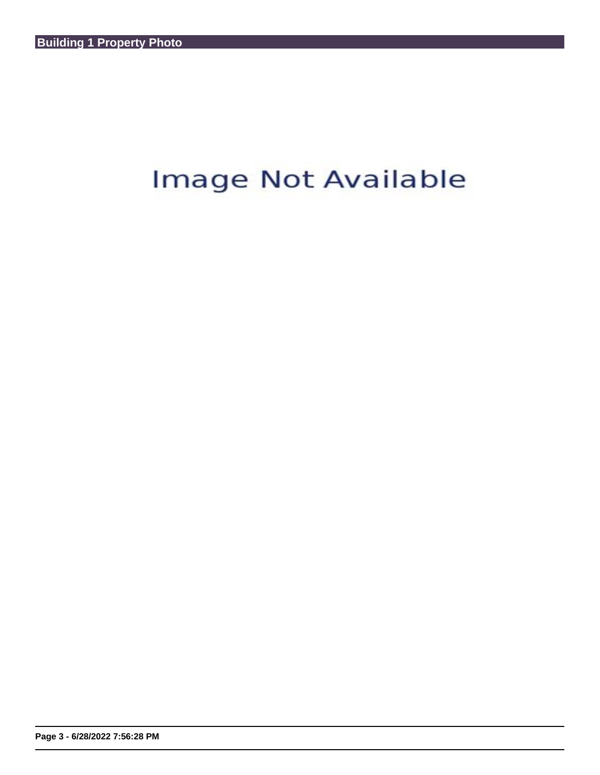## Image Not Available